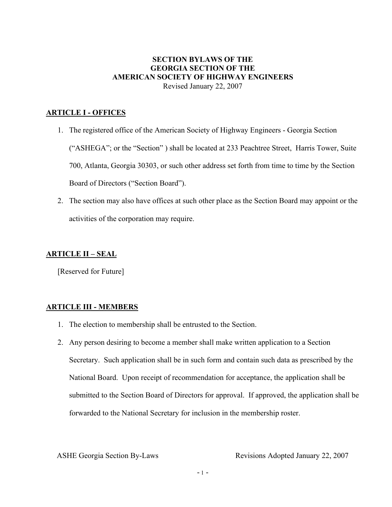# **SECTION BYLAWS OF THE GEORGIA SECTION OF THE AMERICAN SOCIETY OF HIGHWAY ENGINEERS**  Revised January 22, 2007

# **ARTICLE I - OFFICES**

- 1. The registered office of the American Society of Highway Engineers Georgia Section ("ASHEGA"; or the "Section" ) shall be located at 233 Peachtree Street, Harris Tower, Suite 700, Atlanta, Georgia 30303, or such other address set forth from time to time by the Section Board of Directors ("Section Board").
- 2. The section may also have offices at such other place as the Section Board may appoint or the activities of the corporation may require.

# **ARTICLE II – SEAL**

[Reserved for Future]

# **ARTICLE III - MEMBERS**

- 1. The election to membership shall be entrusted to the Section.
- 2. Any person desiring to become a member shall make written application to a Section Secretary. Such application shall be in such form and contain such data as prescribed by the National Board. Upon receipt of recommendation for acceptance, the application shall be submitted to the Section Board of Directors for approval. If approved, the application shall be forwarded to the National Secretary for inclusion in the membership roster.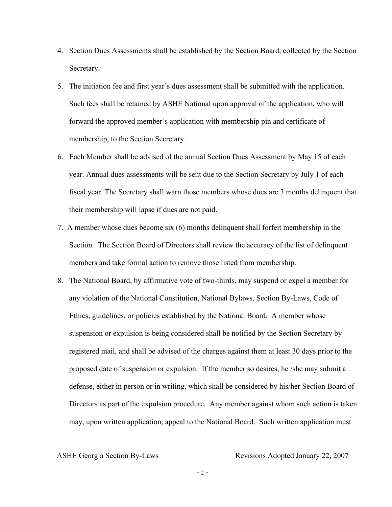- 4. Section Dues Assessments shall be established by the Section Board, collected by the Section Secretary.
- 5. The initiation fee and first year's dues assessment shall be submitted with the application. Such fees shall be retained by ASHE National upon approval of the application, who will forward the approved member's application with membership pin and certificate of membership, to the Section Secretary.
- 6. Each Member shall be advised of the annual Section Dues Assessment by May 15 of each year. Annual dues assessments will be sent due to the Section Secretary by July 1 of each fiscal year. The Secretary shall warn those members whose dues are 3 months delinquent that their membership will lapse if dues are not paid.
- 7. A member whose dues become six (6) months delinquent shall forfeit membership in the Section. The Section Board of Directors shall review the accuracy of the list of delinquent members and take formal action to remove those listed from membership.
- 8. The National Board, by affirmative vote of two-thirds, may suspend or expel a member for any violation of the National Constitution, National Bylaws, Section By-Laws, Code of Ethics, guidelines, or policies established by the National Board. A member whose suspension or expulsion is being considered shall be notified by the Section Secretary by registered mail, and shall be advised of the charges against them at least 30 days prior to the proposed date of suspension or expulsion. If the member so desires, he /she may submit a defense, either in person or in writing, which shall be considered by his/her Section Board of Directors as part of the expulsion procedure. Any member against whom such action is taken may, upon written application, appeal to the National Board. Such written application must

 $-2 -$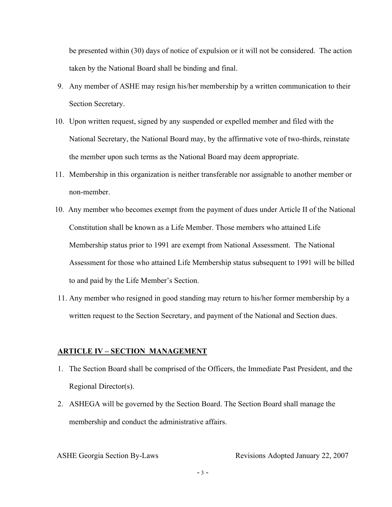be presented within (30) days of notice of expulsion or it will not be considered. The action taken by the National Board shall be binding and final.

- 9. Any member of ASHE may resign his/her membership by a written communication to their Section Secretary.
- 10. Upon written request, signed by any suspended or expelled member and filed with the National Secretary, the National Board may, by the affirmative vote of two-thirds, reinstate the member upon such terms as the National Board may deem appropriate.
- 11. Membership in this organization is neither transferable nor assignable to another member or non-member.
- 10. Any member who becomes exempt from the payment of dues under Article II of the National Constitution shall be known as a Life Member. Those members who attained Life Membership status prior to 1991 are exempt from National Assessment. The National Assessment for those who attained Life Membership status subsequent to 1991 will be billed to and paid by the Life Member's Section.
- 11. Any member who resigned in good standing may return to his/her former membership by a written request to the Section Secretary, and payment of the National and Section dues.

## **ARTICLE IV – SECTION MANAGEMENT**

- 1. The Section Board shall be comprised of the Officers, the Immediate Past President, and the Regional Director(s).
- 2. ASHEGA will be governed by the Section Board. The Section Board shall manage the membership and conduct the administrative affairs.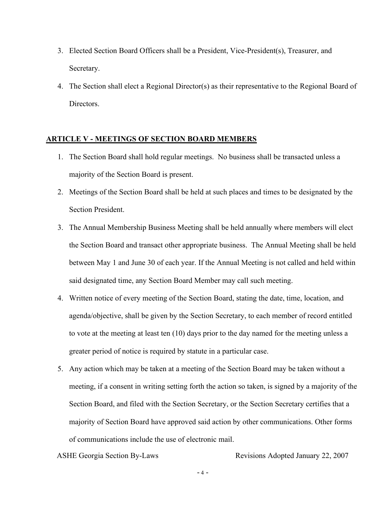- 3. Elected Section Board Officers shall be a President, Vice-President(s), Treasurer, and Secretary.
- 4. The Section shall elect a Regional Director(s) as their representative to the Regional Board of Directors.

## **ARTICLE V - MEETINGS OF SECTION BOARD MEMBERS**

- 1. The Section Board shall hold regular meetings. No business shall be transacted unless a majority of the Section Board is present.
- 2. Meetings of the Section Board shall be held at such places and times to be designated by the Section President.
- 3. The Annual Membership Business Meeting shall be held annually where members will elect the Section Board and transact other appropriate business. The Annual Meeting shall be held between May 1 and June 30 of each year. If the Annual Meeting is not called and held within said designated time, any Section Board Member may call such meeting.
- 4. Written notice of every meeting of the Section Board, stating the date, time, location, and agenda/objective, shall be given by the Section Secretary, to each member of record entitled to vote at the meeting at least ten (10) days prior to the day named for the meeting unless a greater period of notice is required by statute in a particular case.
- 5. Any action which may be taken at a meeting of the Section Board may be taken without a meeting, if a consent in writing setting forth the action so taken, is signed by a majority of the Section Board, and filed with the Section Secretary, or the Section Secretary certifies that a majority of Section Board have approved said action by other communications. Other forms of communications include the use of electronic mail.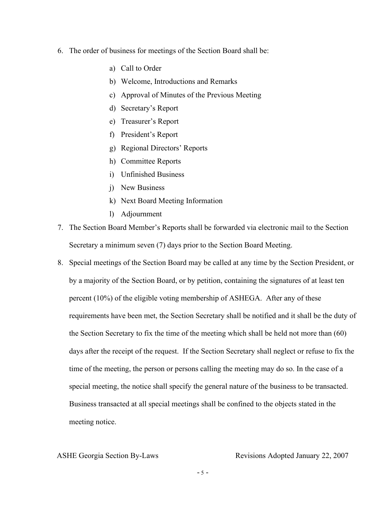- 6. The order of business for meetings of the Section Board shall be:
	- a) Call to Order
	- b) Welcome, Introductions and Remarks
	- c) Approval of Minutes of the Previous Meeting
	- d) Secretary's Report
	- e) Treasurer's Report
	- f) President's Report
	- g) Regional Directors' Reports
	- h) Committee Reports
	- i) Unfinished Business
	- j) New Business
	- k) Next Board Meeting Information
	- l) Adjournment
- 7. The Section Board Member's Reports shall be forwarded via electronic mail to the Section Secretary a minimum seven (7) days prior to the Section Board Meeting.
- 8. Special meetings of the Section Board may be called at any time by the Section President, or by a majority of the Section Board, or by petition, containing the signatures of at least ten percent (10%) of the eligible voting membership of ASHEGA. After any of these requirements have been met, the Section Secretary shall be notified and it shall be the duty of the Section Secretary to fix the time of the meeting which shall be held not more than (60) days after the receipt of the request. If the Section Secretary shall neglect or refuse to fix the time of the meeting, the person or persons calling the meeting may do so. In the case of a special meeting, the notice shall specify the general nature of the business to be transacted. Business transacted at all special meetings shall be confined to the objects stated in the meeting notice.

 $-5 -$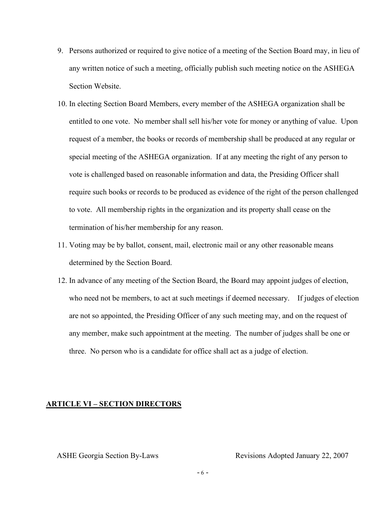- 9. Persons authorized or required to give notice of a meeting of the Section Board may, in lieu of any written notice of such a meeting, officially publish such meeting notice on the ASHEGA Section Website.
- 10. In electing Section Board Members, every member of the ASHEGA organization shall be entitled to one vote. No member shall sell his/her vote for money or anything of value. Upon request of a member, the books or records of membership shall be produced at any regular or special meeting of the ASHEGA organization. If at any meeting the right of any person to vote is challenged based on reasonable information and data, the Presiding Officer shall require such books or records to be produced as evidence of the right of the person challenged to vote. All membership rights in the organization and its property shall cease on the termination of his/her membership for any reason.
- 11. Voting may be by ballot, consent, mail, electronic mail or any other reasonable means determined by the Section Board.
- 12. In advance of any meeting of the Section Board, the Board may appoint judges of election, who need not be members, to act at such meetings if deemed necessary. If judges of election are not so appointed, the Presiding Officer of any such meeting may, and on the request of any member, make such appointment at the meeting. The number of judges shall be one or three. No person who is a candidate for office shall act as a judge of election.

# **ARTICLE VI – SECTION DIRECTORS**

- 6 -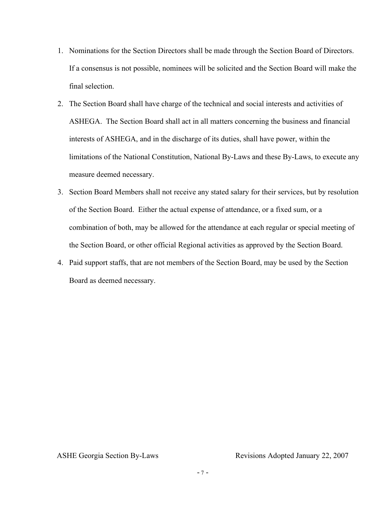- 1. Nominations for the Section Directors shall be made through the Section Board of Directors. If a consensus is not possible, nominees will be solicited and the Section Board will make the final selection.
- 2. The Section Board shall have charge of the technical and social interests and activities of ASHEGA. The Section Board shall act in all matters concerning the business and financial interests of ASHEGA, and in the discharge of its duties, shall have power, within the limitations of the National Constitution, National By-Laws and these By-Laws, to execute any measure deemed necessary.
- 3. Section Board Members shall not receive any stated salary for their services, but by resolution of the Section Board. Either the actual expense of attendance, or a fixed sum, or a combination of both, may be allowed for the attendance at each regular or special meeting of the Section Board, or other official Regional activities as approved by the Section Board.
- 4. Paid support staffs, that are not members of the Section Board, may be used by the Section Board as deemed necessary.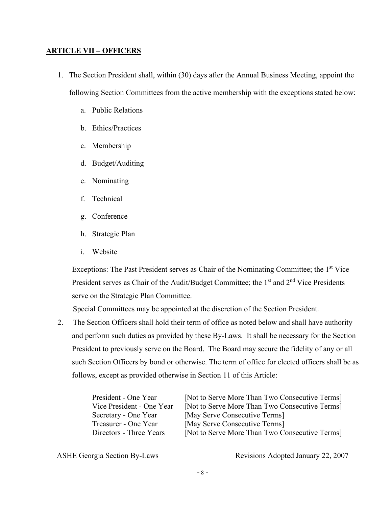# **ARTICLE VII – OFFICERS**

- 1. The Section President shall, within (30) days after the Annual Business Meeting, appoint the following Section Committees from the active membership with the exceptions stated below:
	- a. Public Relations
	- b. Ethics/Practices
	- c. Membership
	- d. Budget/Auditing
	- e. Nominating
	- f. Technical
	- g. Conference
	- h. Strategic Plan
	- i. Website

 Exceptions: The Past President serves as Chair of the Nominating Committee; the 1st Vice President serves as Chair of the Audit/Budget Committee; the  $1<sup>st</sup>$  and  $2<sup>nd</sup>$  Vice Presidents serve on the Strategic Plan Committee.

Special Committees may be appointed at the discretion of the Section President.

2. The Section Officers shall hold their term of office as noted below and shall have authority and perform such duties as provided by these By-Laws. It shall be necessary for the Section President to previously serve on the Board. The Board may secure the fidelity of any or all such Section Officers by bond or otherwise. The term of office for elected officers shall be as follows, except as provided otherwise in Section 11 of this Article:

| President - One Year      | [Not to Serve More Than Two Consecutive Terms] |
|---------------------------|------------------------------------------------|
| Vice President - One Year | [Not to Serve More Than Two Consecutive Terms] |
| Secretary - One Year      | [May Serve Consecutive Terms]                  |
| Treasurer - One Year      | [May Serve Consecutive Terms]                  |
| Directors - Three Years   | [Not to Serve More Than Two Consecutive Terms] |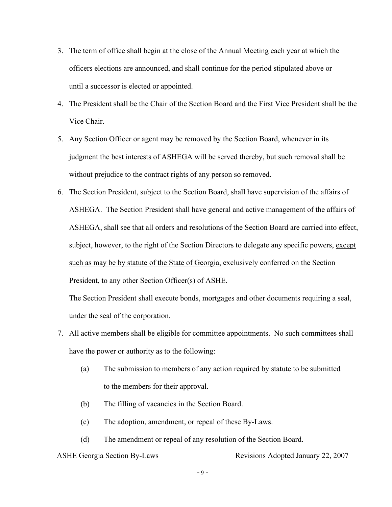- 3. The term of office shall begin at the close of the Annual Meeting each year at which the officers elections are announced, and shall continue for the period stipulated above or until a successor is elected or appointed.
- 4. The President shall be the Chair of the Section Board and the First Vice President shall be the Vice Chair.
- 5. Any Section Officer or agent may be removed by the Section Board, whenever in its judgment the best interests of ASHEGA will be served thereby, but such removal shall be without prejudice to the contract rights of any person so removed.
- 6. The Section President, subject to the Section Board, shall have supervision of the affairs of ASHEGA. The Section President shall have general and active management of the affairs of ASHEGA, shall see that all orders and resolutions of the Section Board are carried into effect, subject, however, to the right of the Section Directors to delegate any specific powers, except such as may be by statute of the State of Georgia, exclusively conferred on the Section President, to any other Section Officer(s) of ASHE.

The Section President shall execute bonds, mortgages and other documents requiring a seal, under the seal of the corporation.

- 7. All active members shall be eligible for committee appointments. No such committees shall have the power or authority as to the following:
	- (a) The submission to members of any action required by statute to be submitted to the members for their approval.
	- (b) The filling of vacancies in the Section Board.
	- (c) The adoption, amendment, or repeal of these By-Laws.
	- (d) The amendment or repeal of any resolution of the Section Board.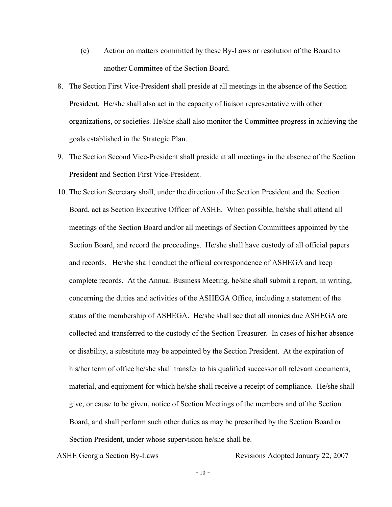- (e) Action on matters committed by these By-Laws or resolution of the Board to another Committee of the Section Board.
- 8. The Section First Vice-President shall preside at all meetings in the absence of the Section President. He/she shall also act in the capacity of liaison representative with other organizations, or societies. He/she shall also monitor the Committee progress in achieving the goals established in the Strategic Plan.
- 9. The Section Second Vice-President shall preside at all meetings in the absence of the Section President and Section First Vice-President.
- 10. The Section Secretary shall, under the direction of the Section President and the Section Board, act as Section Executive Officer of ASHE. When possible, he/she shall attend all meetings of the Section Board and/or all meetings of Section Committees appointed by the Section Board, and record the proceedings. He/she shall have custody of all official papers and records. He/she shall conduct the official correspondence of ASHEGA and keep complete records. At the Annual Business Meeting, he/she shall submit a report, in writing, concerning the duties and activities of the ASHEGA Office, including a statement of the status of the membership of ASHEGA. He/she shall see that all monies due ASHEGA are collected and transferred to the custody of the Section Treasurer. In cases of his/her absence or disability, a substitute may be appointed by the Section President. At the expiration of his/her term of office he/she shall transfer to his qualified successor all relevant documents, material, and equipment for which he/she shall receive a receipt of compliance. He/she shall give, or cause to be given, notice of Section Meetings of the members and of the Section Board, and shall perform such other duties as may be prescribed by the Section Board or Section President, under whose supervision he/she shall be.

 $-10-$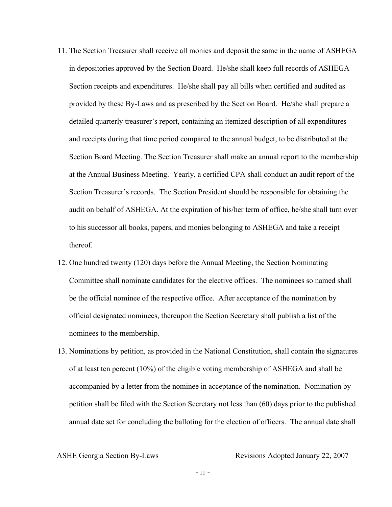- 11. The Section Treasurer shall receive all monies and deposit the same in the name of ASHEGA in depositories approved by the Section Board. He/she shall keep full records of ASHEGA Section receipts and expenditures. He/she shall pay all bills when certified and audited as provided by these By-Laws and as prescribed by the Section Board. He/she shall prepare a detailed quarterly treasurer's report, containing an itemized description of all expenditures and receipts during that time period compared to the annual budget, to be distributed at the Section Board Meeting. The Section Treasurer shall make an annual report to the membership at the Annual Business Meeting. Yearly, a certified CPA shall conduct an audit report of the Section Treasurer's records. The Section President should be responsible for obtaining the audit on behalf of ASHEGA. At the expiration of his/her term of office, he/she shall turn over to his successor all books, papers, and monies belonging to ASHEGA and take a receipt thereof.
- 12. One hundred twenty (120) days before the Annual Meeting, the Section Nominating Committee shall nominate candidates for the elective offices. The nominees so named shall be the official nominee of the respective office. After acceptance of the nomination by official designated nominees, thereupon the Section Secretary shall publish a list of the nominees to the membership.
- 13. Nominations by petition, as provided in the National Constitution, shall contain the signatures of at least ten percent (10%) of the eligible voting membership of ASHEGA and shall be accompanied by a letter from the nominee in acceptance of the nomination. Nomination by petition shall be filed with the Section Secretary not less than (60) days prior to the published annual date set for concluding the balloting for the election of officers. The annual date shall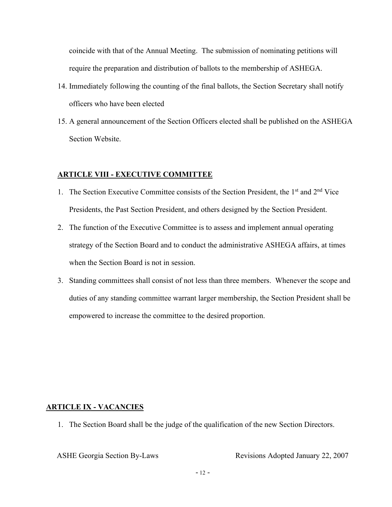coincide with that of the Annual Meeting. The submission of nominating petitions will require the preparation and distribution of ballots to the membership of ASHEGA.

- 14. Immediately following the counting of the final ballots, the Section Secretary shall notify officers who have been elected
- 15. A general announcement of the Section Officers elected shall be published on the ASHEGA Section Website.

# **ARTICLE VIII - EXECUTIVE COMMITTEE**

- 1. The Section Executive Committee consists of the Section President, the 1<sup>st</sup> and 2<sup>nd</sup> Vice Presidents, the Past Section President, and others designed by the Section President.
- 2. The function of the Executive Committee is to assess and implement annual operating strategy of the Section Board and to conduct the administrative ASHEGA affairs, at times when the Section Board is not in session.
- 3. Standing committees shall consist of not less than three members. Whenever the scope and duties of any standing committee warrant larger membership, the Section President shall be empowered to increase the committee to the desired proportion.

## **ARTICLE IX - VACANCIES**

1. The Section Board shall be the judge of the qualification of the new Section Directors.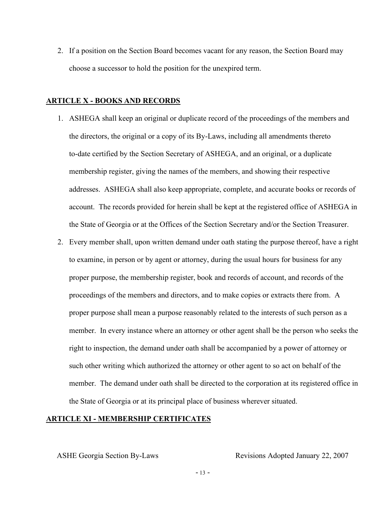2. If a position on the Section Board becomes vacant for any reason, the Section Board may choose a successor to hold the position for the unexpired term.

#### **ARTICLE X - BOOKS AND RECORDS**

- 1. ASHEGA shall keep an original or duplicate record of the proceedings of the members and the directors, the original or a copy of its By-Laws, including all amendments thereto to-date certified by the Section Secretary of ASHEGA, and an original, or a duplicate membership register, giving the names of the members, and showing their respective addresses. ASHEGA shall also keep appropriate, complete, and accurate books or records of account. The records provided for herein shall be kept at the registered office of ASHEGA in the State of Georgia or at the Offices of the Section Secretary and/or the Section Treasurer.
- 2. Every member shall, upon written demand under oath stating the purpose thereof, have a right to examine, in person or by agent or attorney, during the usual hours for business for any proper purpose, the membership register, book and records of account, and records of the proceedings of the members and directors, and to make copies or extracts there from. A proper purpose shall mean a purpose reasonably related to the interests of such person as a member. In every instance where an attorney or other agent shall be the person who seeks the right to inspection, the demand under oath shall be accompanied by a power of attorney or such other writing which authorized the attorney or other agent to so act on behalf of the member. The demand under oath shall be directed to the corporation at its registered office in the State of Georgia or at its principal place of business wherever situated.

# **ARTICLE XI - MEMBERSHIP CERTIFICATES**

ASHE Georgia Section By-Laws Revisions Adopted January 22, 2007

 $-13 -$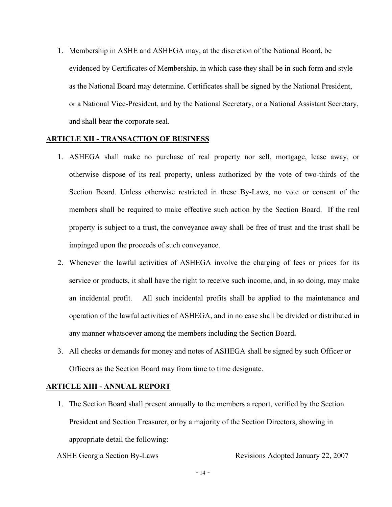1. Membership in ASHE and ASHEGA may, at the discretion of the National Board, be evidenced by Certificates of Membership, in which case they shall be in such form and style as the National Board may determine. Certificates shall be signed by the National President, or a National Vice-President, and by the National Secretary, or a National Assistant Secretary, and shall bear the corporate seal.

# **ARTICLE XII - TRANSACTION OF BUSINESS**

- 1. ASHEGA shall make no purchase of real property nor sell, mortgage, lease away, or otherwise dispose of its real property, unless authorized by the vote of two-thirds of the Section Board. Unless otherwise restricted in these By-Laws, no vote or consent of the members shall be required to make effective such action by the Section Board. If the real property is subject to a trust, the conveyance away shall be free of trust and the trust shall be impinged upon the proceeds of such conveyance.
- 2. Whenever the lawful activities of ASHEGA involve the charging of fees or prices for its service or products, it shall have the right to receive such income, and, in so doing, may make an incidental profit. All such incidental profits shall be applied to the maintenance and operation of the lawful activities of ASHEGA, and in no case shall be divided or distributed in any manner whatsoever among the members including the Section Board**.**
- 3. All checks or demands for money and notes of ASHEGA shall be signed by such Officer or Officers as the Section Board may from time to time designate.

#### **ARTICLE XIII - ANNUAL REPORT**

1. The Section Board shall present annually to the members a report, verified by the Section President and Section Treasurer, or by a majority of the Section Directors, showing in appropriate detail the following:

ASHE Georgia Section By-Laws Revisions Adopted January 22, 2007

 $-14 -$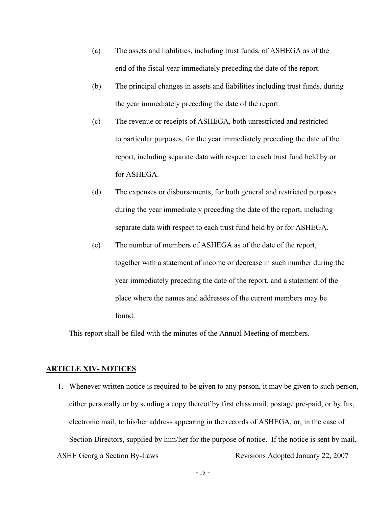- (a) The assets and liabilities, including trust funds, of ASHEGA as of the end of the fiscal year immediately preceding the date of the report.
- (b) The principal changes in assets and liabilities including trust funds, during the year immediately preceding the date of the report.
- (c) The revenue or receipts of ASHEGA, both unrestricted and restricted to particular purposes, for the year immediately preceding the date of the report, including separate data with respect to each trust fund held by or for ASHEGA.
- (d) The expenses or disbursements, for both general and restricted purposes during the year immediately preceding the date of the report, including separate data with respect to each trust fund held by or for ASHEGA.
- (e) The number of members of ASHEGA as of the date of the report, together with a statement of income or decrease in such number during the year immediately preceding the date of the report, and a statement of the place where the names and addresses of the current members may be found.

This report shall be filed with the minutes of the Annual Meeting of members.

### **ARTICLE XIV- NOTICES**

ASHE Georgia Section By-Laws Revisions Adopted January 22, 2007 1. Whenever written notice is required to be given to any person, it may be given to such person, either personally or by sending a copy thereof by first class mail, postage pre-paid, or by fax, electronic mail, to his/her address appearing in the records of ASHEGA, or, in the case of Section Directors, supplied by him/her for the purpose of notice. If the notice is sent by mail,

 $-15 -$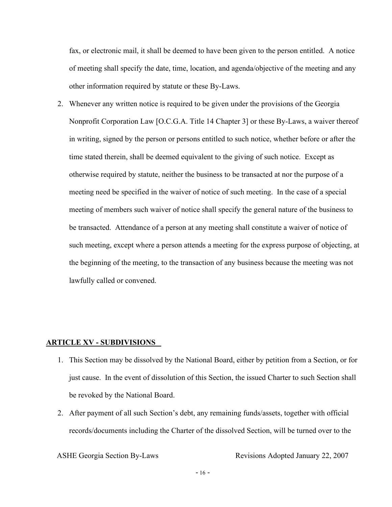fax, or electronic mail, it shall be deemed to have been given to the person entitled. A notice of meeting shall specify the date, time, location, and agenda/objective of the meeting and any other information required by statute or these By-Laws.

2. Whenever any written notice is required to be given under the provisions of the Georgia Nonprofit Corporation Law [O.C.G.A. Title 14 Chapter 3] or these By-Laws, a waiver thereof in writing, signed by the person or persons entitled to such notice, whether before or after the time stated therein, shall be deemed equivalent to the giving of such notice. Except as otherwise required by statute, neither the business to be transacted at nor the purpose of a meeting need be specified in the waiver of notice of such meeting. In the case of a special meeting of members such waiver of notice shall specify the general nature of the business to be transacted. Attendance of a person at any meeting shall constitute a waiver of notice of such meeting, except where a person attends a meeting for the express purpose of objecting, at the beginning of the meeting, to the transaction of any business because the meeting was not lawfully called or convened.

#### **ARTICLE XV - SUBDIVISIONS**

- 1. This Section may be dissolved by the National Board, either by petition from a Section, or for just cause. In the event of dissolution of this Section, the issued Charter to such Section shall be revoked by the National Board.
- 2. After payment of all such Section's debt, any remaining funds/assets, together with official records/documents including the Charter of the dissolved Section, will be turned over to the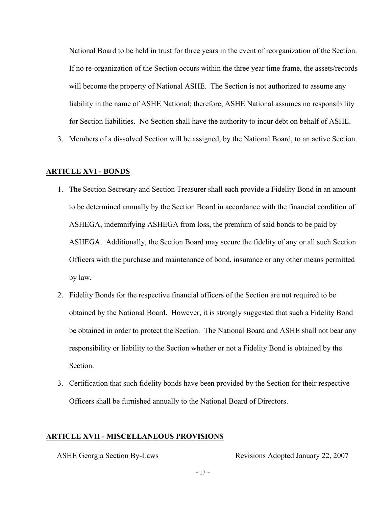National Board to be held in trust for three years in the event of reorganization of the Section. If no re-organization of the Section occurs within the three year time frame, the assets/records will become the property of National ASHE. The Section is not authorized to assume any liability in the name of ASHE National; therefore, ASHE National assumes no responsibility for Section liabilities. No Section shall have the authority to incur debt on behalf of ASHE.

3. Members of a dissolved Section will be assigned, by the National Board, to an active Section.

### **ARTICLE XVI - BONDS**

- 1. The Section Secretary and Section Treasurer shall each provide a Fidelity Bond in an amount to be determined annually by the Section Board in accordance with the financial condition of ASHEGA, indemnifying ASHEGA from loss, the premium of said bonds to be paid by ASHEGA. Additionally, the Section Board may secure the fidelity of any or all such Section Officers with the purchase and maintenance of bond, insurance or any other means permitted by law.
- 2. Fidelity Bonds for the respective financial officers of the Section are not required to be obtained by the National Board. However, it is strongly suggested that such a Fidelity Bond be obtained in order to protect the Section. The National Board and ASHE shall not bear any responsibility or liability to the Section whether or not a Fidelity Bond is obtained by the Section.
- 3. Certification that such fidelity bonds have been provided by the Section for their respective Officers shall be furnished annually to the National Board of Directors.

# **ARTICLE XVII - MISCELLANEOUS PROVISIONS**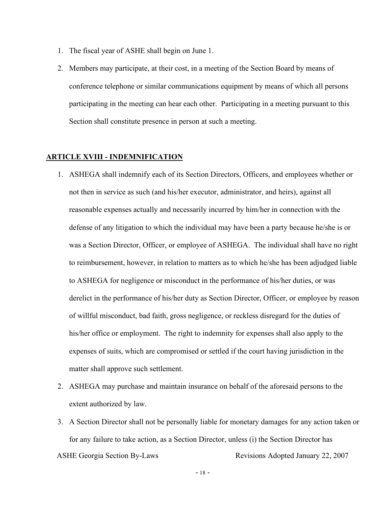- 1. The fiscal year of ASHE shall begin on June 1.
- 2. Members may participate, at their cost, in a meeting of the Section Board by means of conference telephone or similar communications equipment by means of which all persons participating in the meeting can hear each other. Participating in a meeting pursuant to this Section shall constitute presence in person at such a meeting.

### **ARTICLE XVIII - INDEMNIFICATION**

- 1. ASHEGA shall indemnify each of its Section Directors, Officers, and employees whether or not then in service as such (and his/her executor, administrator, and heirs), against all reasonable expenses actually and necessarily incurred by him/her in connection with the defense of any litigation to which the individual may have been a party because he/she is or was a Section Director, Officer, or employee of ASHEGA. The individual shall have no right to reimbursement, however, in relation to matters as to which he/she has been adjudged liable to ASHEGA for negligence or misconduct in the performance of his/her duties, or was derelict in the performance of his/her duty as Section Director, Officer, or employee by reason of willful misconduct, bad faith, gross negligence, or reckless disregard for the duties of his/her office or employment. The right to indemnity for expenses shall also apply to the expenses of suits, which are compromised or settled if the court having jurisdiction in the matter shall approve such settlement.
- 2. ASHEGA may purchase and maintain insurance on behalf of the aforesaid persons to the extent authorized by law.
- ASHE Georgia Section By-Laws Revisions Adopted January 22, 2007 3. A Section Director shall not be personally liable for monetary damages for any action taken or for any failure to take action, as a Section Director, unless (i) the Section Director has

 $-18 -$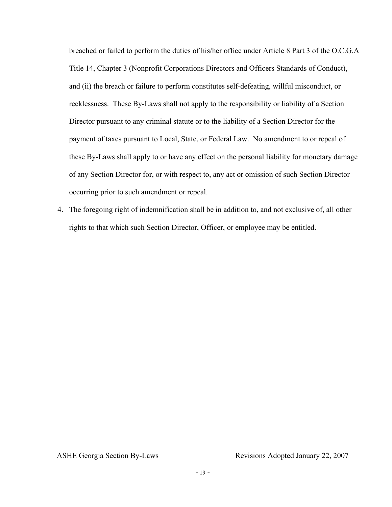breached or failed to perform the duties of his/her office under Article 8 Part 3 of the O.C.G.A Title 14, Chapter 3 (Nonprofit Corporations Directors and Officers Standards of Conduct), and (ii) the breach or failure to perform constitutes self-defeating, willful misconduct, or recklessness. These By-Laws shall not apply to the responsibility or liability of a Section Director pursuant to any criminal statute or to the liability of a Section Director for the payment of taxes pursuant to Local, State, or Federal Law. No amendment to or repeal of these By-Laws shall apply to or have any effect on the personal liability for monetary damage of any Section Director for, or with respect to, any act or omission of such Section Director occurring prior to such amendment or repeal.

4. The foregoing right of indemnification shall be in addition to, and not exclusive of, all other rights to that which such Section Director, Officer, or employee may be entitled.